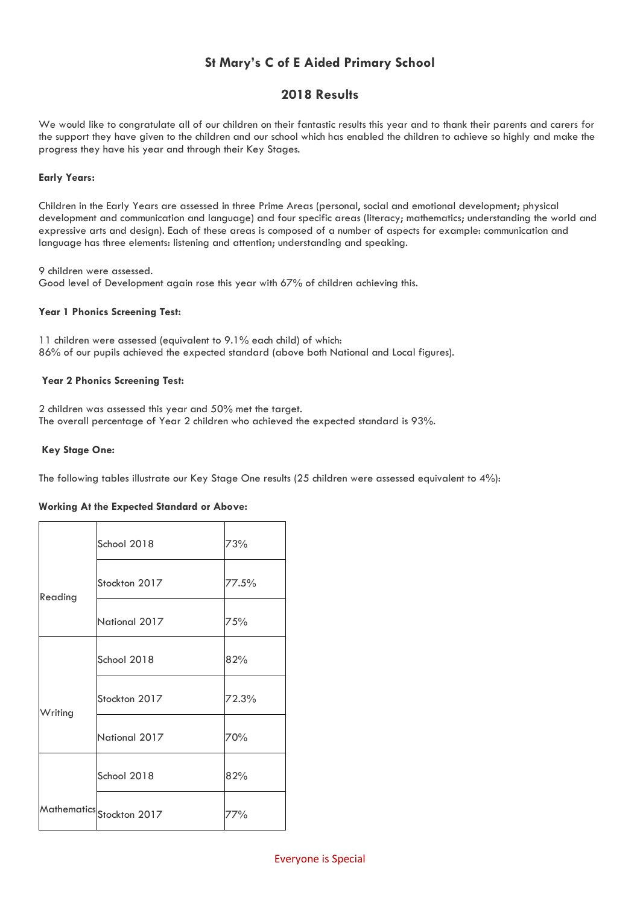# **St Mary's C of E Aided Primary School**

## **2018 Results**

We would like to congratulate all of our children on their fantastic results this year and to thank their parents and carers for the support they have given to the children and our school which has enabled the children to achieve so highly and make the progress they have his year and through their Key Stages.

#### **Early Years:**

Children in the Early Years are assessed in three Prime Areas (personal, social and emotional development; physical development and communication and language) and four specific areas (literacy; mathematics; understanding the world and expressive arts and design). Each of these areas is composed of a number of aspects for example: communication and language has three elements: listening and attention; understanding and speaking.

9 children were assessed. Good level of Development again rose this year with 67% of children achieving this.

#### **Year 1 Phonics Screening Test:**

11 children were assessed (equivalent to 9.1% each child) of which: 86% of our pupils achieved the expected standard (above both National and Local figures).

#### **Year 2 Phonics Screening Test:**

2 children was assessed this year and 50% met the target. The overall percentage of Year 2 children who achieved the expected standard is 93%.

#### **Key Stage One:**

The following tables illustrate our Key Stage One results (25 children were assessed equivalent to 4%):

### **Working At the Expected Standard or Above:**

|         | School 2018               | 73%   |
|---------|---------------------------|-------|
| Reading | Stockton 2017             | 77.5% |
|         | National 2017             | 75%   |
|         | School 2018               | 82%   |
| Writing | Stockton 2017             | 72.3% |
|         | National 2017             | 70%   |
|         | School 2018               | 82%   |
|         | Mathematics Stockton 2017 | 77%   |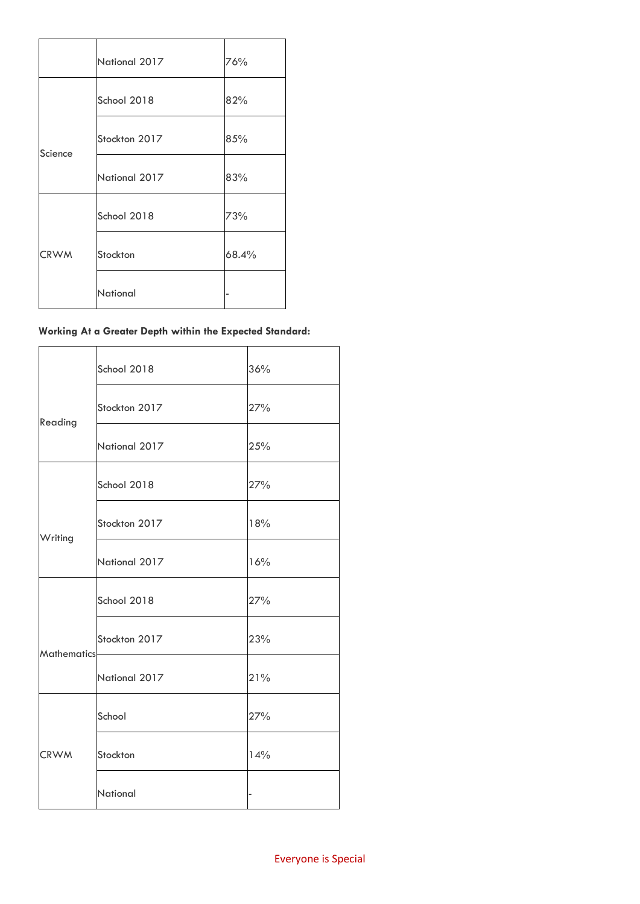|             | National 2017 | 76%   |
|-------------|---------------|-------|
|             | School 2018   | 82%   |
| Science     | Stockton 2017 | 85%   |
|             | National 2017 | 83%   |
|             | School 2018   | 73%   |
| <b>CRWM</b> | Stockton      | 68.4% |
|             | National      |       |

### **Working At a Greater Depth within the Expected Standard:**

|                    | School 2018   | 36% |
|--------------------|---------------|-----|
| Reading            | Stockton 2017 | 27% |
|                    | National 2017 | 25% |
|                    | School 2018   | 27% |
| Writing            | Stockton 2017 | 18% |
|                    | National 2017 | 16% |
|                    | School 2018   | 27% |
| <b>Mathematics</b> | Stockton 2017 | 23% |
|                    | National 2017 | 21% |
|                    | School        | 27% |
| <b>CRWM</b>        | Stockton      | 14% |
|                    | National      |     |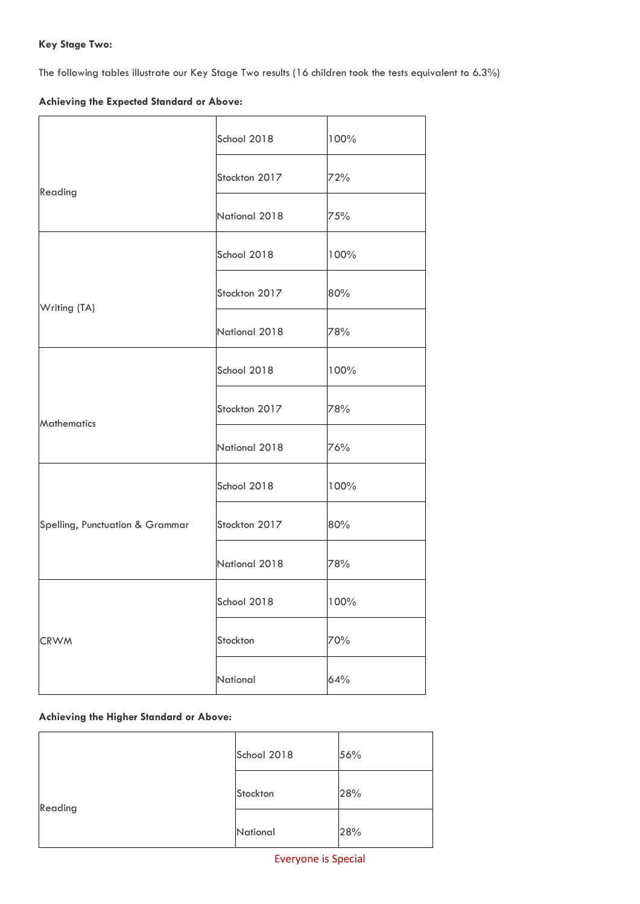### **Key Stage Two:**

The following tables illustrate our Key Stage Two results (16 children took the tests equivalent to 6.3%)

### **Achieving the Expected Standard or Above:**

|                                 | School 2018   | 100% |
|---------------------------------|---------------|------|
| Reading                         | Stockton 2017 | 72%  |
|                                 | National 2018 | 75%  |
|                                 | School 2018   | 100% |
| Writing (TA)                    | Stockton 2017 | 80%  |
|                                 | National 2018 | 78%  |
|                                 | School 2018   | 100% |
| <b>Mathematics</b>              | Stockton 2017 | 78%  |
|                                 | National 2018 | 76%  |
|                                 | School 2018   | 100% |
| Spelling, Punctuation & Grammar | Stockton 2017 | 80%  |
|                                 | National 2018 | 78%  |
|                                 | School 2018   | 100% |
| <b>CRWM</b>                     | Stockton      | 70%  |
|                                 | National      | 64%  |

### **Achieving the Higher Standard or Above:**

|         | School 2018 | 56% |
|---------|-------------|-----|
| Reading | Stockton    | 28% |
|         | National    | 28% |